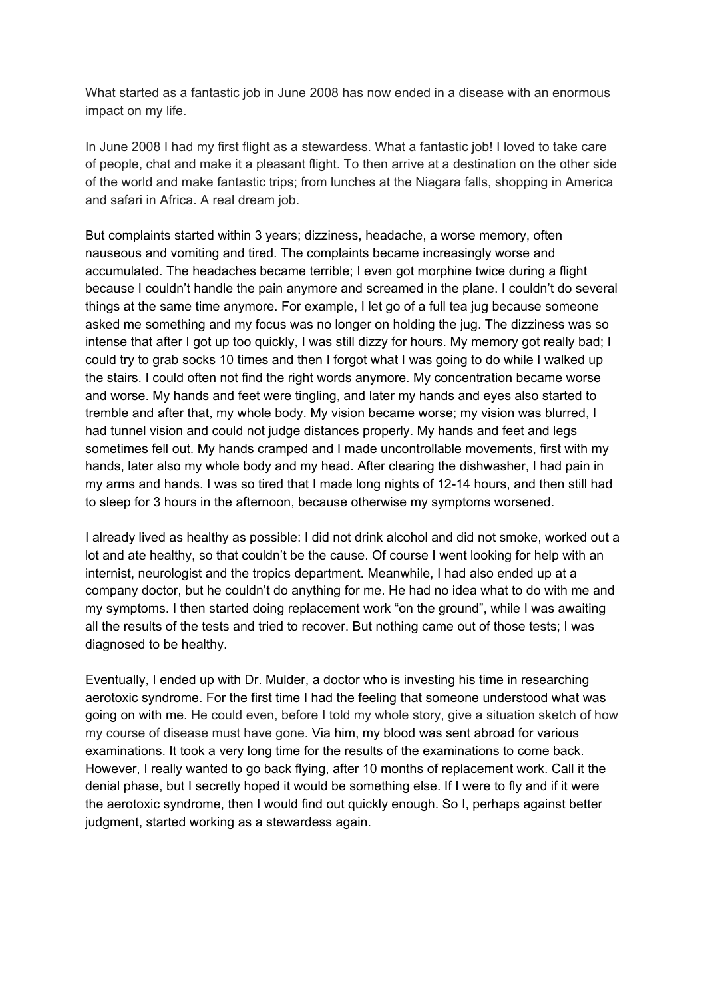What started as a fantastic job in June 2008 has now ended in a disease with an enormous impact on my life.

In June 2008 I had my first flight as a stewardess. What a fantastic job! I loved to take care of people, chat and make it a pleasant flight. To then arrive at a destination on the other side of the world and make fantastic trips; from lunches at the Niagara falls, shopping in America and safari in Africa. A real dream job.

But complaints started within 3 years; dizziness, headache, a worse memory, often nauseous and vomiting and tired. The complaints became increasingly worse and accumulated. The headaches became terrible; I even got morphine twice during a flight because I couldn't handle the pain anymore and screamed in the plane. I couldn't do several things at the same time anymore. For example, I let go of a full tea jug because someone asked me something and my focus was no longer on holding the jug. The dizziness was so intense that after I got up too quickly, I was still dizzy for hours. My memory got really bad; I could try to grab socks 10 times and then I forgot what I was going to do while I walked up the stairs. I could often not find the right words anymore. My concentration became worse and worse. My hands and feet were tingling, and later my hands and eyes also started to tremble and after that, my whole body. My vision became worse; my vision was blurred, I had tunnel vision and could not judge distances properly. My hands and feet and legs sometimes fell out. My hands cramped and I made uncontrollable movements, first with my hands, later also my whole body and my head. After clearing the dishwasher, I had pain in my arms and hands. I was so tired that I made long nights of 12-14 hours, and then still had to sleep for 3 hours in the afternoon, because otherwise my symptoms worsened.

I already lived as healthy as possible: I did not drink alcohol and did not smoke, worked out a lot and ate healthy, so that couldn't be the cause. Of course I went looking for help with an internist, neurologist and the tropics department. Meanwhile, I had also ended up at a company doctor, but he couldn't do anything for me. He had no idea what to do with me and my symptoms. I then started doing replacement work "on the ground", while I was awaiting all the results of the tests and tried to recover. But nothing came out of those tests; I was diagnosed to be healthy.

Eventually, I ended up with Dr. Mulder, a doctor who is investing his time in researching aerotoxic syndrome. For the first time I had the feeling that someone understood what was going on with me. He could even, before I told my whole story, give a situation sketch of how my course of disease must have gone. Via him, my blood was sent abroad for various examinations. It took a very long time for the results of the examinations to come back. However, I really wanted to go back flying, after 10 months of replacement work. Call it the denial phase, but I secretly hoped it would be something else. If I were to fly and if it were the aerotoxic syndrome, then I would find out quickly enough. So I, perhaps against better judgment, started working as a stewardess again.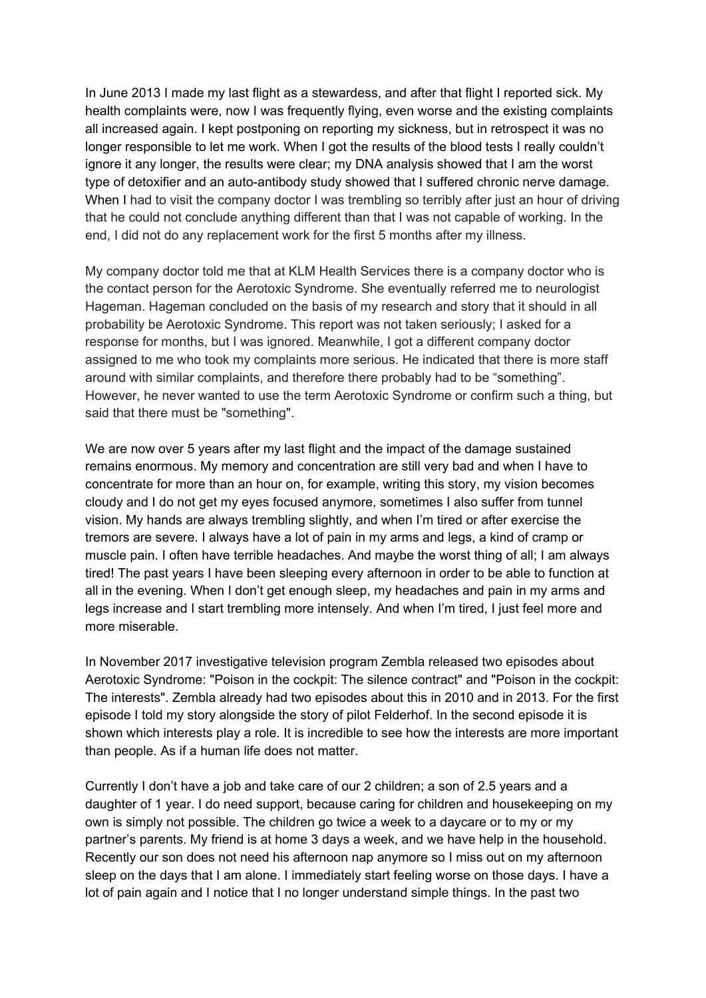In June 2013 I made my last flight as a stewardess, and after that flight I reported sick. My health complaints were, now I was frequently flying, even worse and the existing complaints all increased again. I kept postponing on reporting my sickness, but in retrospect it was no longer responsible to let me work. When I got the results of the blood tests I really couldn't ignore it any longer, the results were clear; my DNA analysis showed that I am the worst type of detoxifier and an auto-antibody study showed that I suffered chronic nerve damage. When I had to visit the company doctor I was trembling so terribly after just an hour of driving that he could not conclude anything different than that I was not capable of working. In the end, I did not do any replacement work for the first 5 months after my illness.

My company doctor told me that at KLM Health Services there is a company doctor who is the contact person for the Aerotoxic Syndrome. She eventually referred me to neurologist Hageman. Hageman concluded on the basis of my research and story that it should in all probability be Aerotoxic Syndrome. This report was not taken seriously; I asked for a response for months, but I was ignored. Meanwhile, I got a different company doctor assigned to me who took my complaints more serious. He indicated that there is more staff around with similar complaints, and therefore there probably had to be "something". However, he never wanted to use the term Aerotoxic Syndrome or confirm such a thing, but said that there must be "something".

We are now over 5 years after my last flight and the impact of the damage sustained remains enormous. My memory and concentration are still very bad and when I have to concentrate for more than an hour on, for example, writing this story, my vision becomes cloudy and I do not get my eyes focused anymore, sometimes I also suffer from tunnel vision. My hands are always trembling slightly, and when I'm tired or after exercise the tremors are severe. I always have a lot of pain in my arms and legs, a kind of cramp or muscle pain. I often have terrible headaches. And maybe the worst thing of all; I am always tired! The past years I have been sleeping every afternoon in order to be able to function at all in the evening. When I don't get enough sleep, my headaches and pain in my arms and legs increase and I start trembling more intensely. And when I'm tired, I just feel more and more miserable.

In November 2017 investigative television program Zembla released two episodes about Aerotoxic Syndrome: "Poison in the cockpit: The silence contract" and "Poison in the cockpit: The interests". Zembla already had two episodes about this in 2010 and in 2013. For the first episode I told my story alongside the story of pilot Felderhof. In the second episode it is shown which interests play a role. It is incredible to see how the interests are more important than people. As if a human life does not matter.

Currently I don't have a job and take care of our 2 children; a son of 2.5 years and a daughter of 1 year. I do need support, because caring for children and housekeeping on my own is simply not possible. The children go twice a week to a daycare or to my or my partner's parents. My friend is at home 3 days a week, and we have help in the household. Recently our son does not need his afternoon nap anymore so I miss out on my afternoon sleep on the days that I am alone. I immediately start feeling worse on those days. I have a lot of pain again and I notice that I no longer understand simple things. In the past two